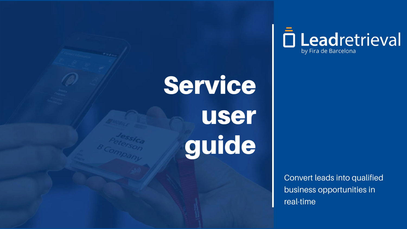# Service user guide

# D Leadretrieval

Convert leads into qualified business opportunities in real-time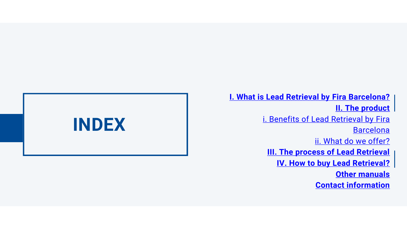

**[I. What is Lead Retrieval by Fira](#page-2-0) Barcelona? [II. The product](#page-3-0)** [i. Benefits of Lead Retrieval by Fira](#page-4-0) **Barcelona** [ii. What do we offer?](#page-5-0) **[III. The process of Lead Retrieval](#page-6-0) [IV. How to buy Lead Retrieval](#page-7-0) ? [Other manuals](#page-8-0) [Contact information](#page-9-0)**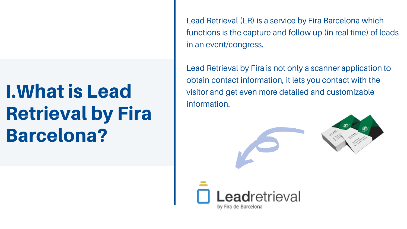## **I. What is Lead Retrieval by Fira Barcelona?**

Lead Retrieval (LR) is a service by Fira Barcelona which functions is the capture and follow up (in real time) of leads in an event/congress.

Lead Retrieval by Fira is not only a scanner application to obtain contact information, it lets you contact with the visitor and get even more detailed and customizable information.



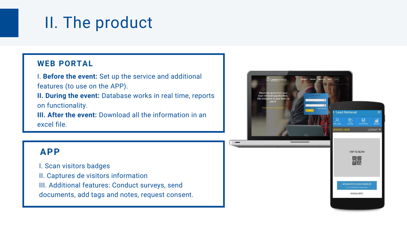#### **APP**

- I. Scan visitors badges
- II. Captures de visitors information
- III. Additional features: Conduct surveys, send

documents, add tags and notes, request consent.



#### **WEB PORTAL**

**III. After the event:** Download all the information in an excel file.

I. **Before the event:** Set up the service and additional features (to use on the APP).

**II. During the event:** Database works in real time, reports on functionality.

### <span id="page-3-0"></span>II. The product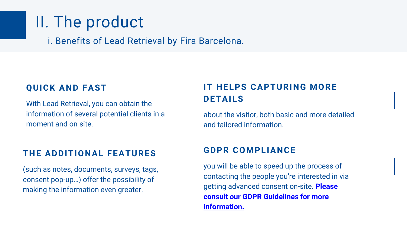#### **QUICK AND FAST**

With Lead Retrieval, you can obtain the information of several potential clients in a moment and on site.

#### **THE ADDITIONAL FEATURES**

(such as notes, documents, surveys, tags, consent pop-up…) offer the possibility of making the information even greater.

# **DETAILS**

about the visitor, both basic and more detailed and tailored information.

#### **GDPR COMPLIANCE**

you will be able to speed up the process of contacting the people you're interested in via getting advanced consent on-site. **Please [consult our GDPR Guidelines for more](https://docs.google.com/presentation/d/1dHkod5hGmNTpGBfASB2gAqIlIK8HmB0TERKjMWDV5ZM/present?ueb=true&slide=id.g46cc49b7b8_0_0)  information.**

#### **IT HELPS CAPTURING MORE**

### <span id="page-4-0"></span>II. The product

i. Benefits of Lead Retrieval by Fira Barcelona.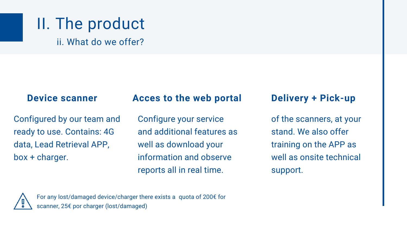#### **Device scanner**

Configured by our team and ready to use. Contains: 4G data, Lead Retrieval APP, box + charger.

#### **Acces to the web portal**

Configure your service and additional features as well as download your information and observe reports all in real time.



#### **Delivery + Pick-up**

of the scanners, at your stand. We also offer training on the APP as well as onsite technical support.

### <span id="page-5-0"></span>II. The product

ii. What do we offer?

For any lost/damaged device/charger there exists a quota of 200€ for scanner, 25€ por charger (lost/damaged)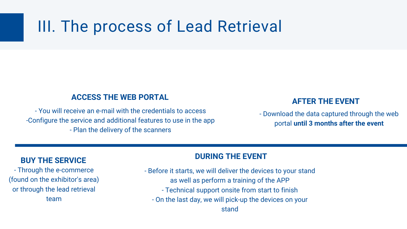#### **BUY THE SERVICE**

- Through the e-commerce (found on the exhibitor's area) or through the lead retrieval team

#### **ACCESS THE WEB PORTAL**

- You will receive an e-mail with the credentials to access -Configure the service and additional features to use in the app - Plan the delivery of the scanners

#### **DURING THE EVENT**

- Before it starts, we will deliver the devices to your stand as well as perform a training of the APP - Technical support onsite from start to finish - On the last day, we will pick-up the devices on your stand



- Download the data captured through the web portal **until 3 months after the event**

#### **AFTER THE EVENT**

### <span id="page-6-0"></span>III. The process of Lead Retrieval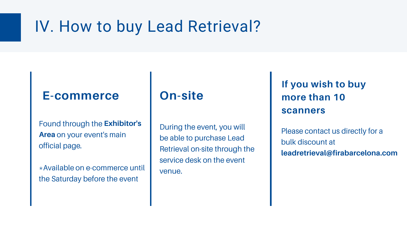#### **E-commerce**

**Exhibitor's Area** on your event's main official page.

\*Available on e-commerce until the Saturday before the event

#### **On-site**

During the event, you will be able to purchase Lead Retrieval on-site through the service desk on the event venue.

Please contact us directly for a bulk discount at **leadretrieval@firabarcelona.com**

#### **If you wish to buy more than 10 scanners**

### <span id="page-7-0"></span>IV. How to buy Lead Retrieval?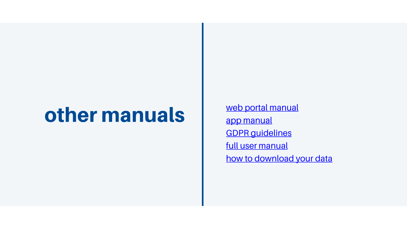## other manuals

web portal manual app manual **GDPR** guidelines full user manual how to download your data